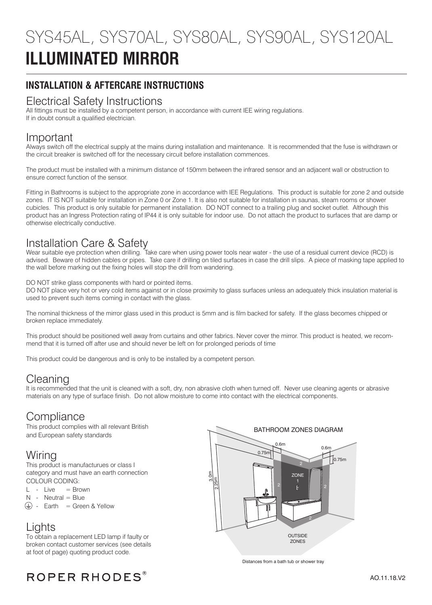# **ILLUMINATED MIRROR** SYS45AL, SYS70AL, SYS80AL, SYS90AL, SYS120AL

## **INSTALLATION & AFTERCARE INSTRUCTIONS**

### Electrical Safety Instructions

All fittings must be installed by a competent person, in accordance with current IEE wiring regulations. If in doubt consult a qualified electrician.

### Important

Always switch off the electrical supply at the mains during installation and maintenance. It is recommended that the fuse is withdrawn or the circuit breaker is switched off for the necessary circuit before installation commences.

The product must be installed with a minimum distance of 150mm between the infrared sensor and an adjacent wall or obstruction to ensure correct function of the sensor.

Fitting in Bathrooms is subject to the appropriate zone in accordance with IEE Regulations. This product is suitable for zone 2 and outside zones. IT IS NOT suitable for installation in Zone 0 or Zone 1. It is also not suitable for installation in saunas, steam rooms or shower cubicles. This product is only suitable for permanent installation. DO NOT connect to a trailing plug and socket outlet. Although this product has an Ingress Protection rating of IP44 it is only suitable for indoor use. Do not attach the product to surfaces that are damp or otherwise electrically conductive.

## Installation Care & Safety

Wear suitable eye protection when drilling. Take care when using power tools near water - the use of a residual current device (RCD) is advised. Beware of hidden cables or pipes. Take care if drilling on tiled surfaces in case the drill slips. A piece of masking tape applied to the wall before marking out the fixing holes will stop the drill from wandering.

DO NOT strike glass components with hard or pointed items.

DO NOT place very hot or very cold items against or in close proximity to glass surfaces unless an adequately thick insulation material is used to prevent such items coming in contact with the glass.

The nominal thickness of the mirror glass used in this product is 5mm and is film backed for safety. If the glass becomes chipped or broken replace immediately.

This product should be positioned well away from curtains and other fabrics. Never cover the mirror. This product is heated, we recommend that it is turned off after use and should never be left on for prolonged periods of time

This product could be dangerous and is only to be installed by a competent person.

## Cleaning

It is recommended that the unit is cleaned with a soft, dry, non abrasive cloth when turned off. Never use cleaning agents or abrasive materials on any type of surface finish. Do not allow moisture to come into contact with the electrical components.

## **Compliance**

This product complies with all relevant British and European safety standards

## Wiring

This product is manufacturues or class I category and must have an earth connection COLOUR CODING:

- $L Live = Brown$
- $N -$  Neutral = Blue
- $\circled{+}$  Earth = Green & Yellow

## Lights

To obtain a replacement LED lamp if faulty or broken contact customer services (see details at foot of page) quoting product code.



Distances from a bath tub or shower tray